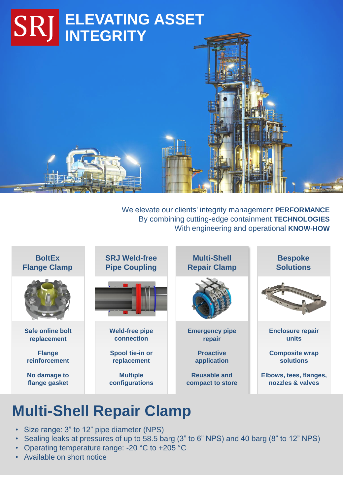

We elevate our clients' integrity management **PERFORMANCE** By combining cutting-edge containment **TECHNOLOGIES** With engineering and operational **KNOW-HOW**



# **Multi-Shell Repair Clamp**

- Size range: 3" to 12" pipe diameter (NPS)
- Sealing leaks at pressures of up to 58.5 barg (3" to 6" NPS) and 40 barg (8" to 12" NPS)
- Operating temperature range: -20 °C to +205 °C
- Available on short notice